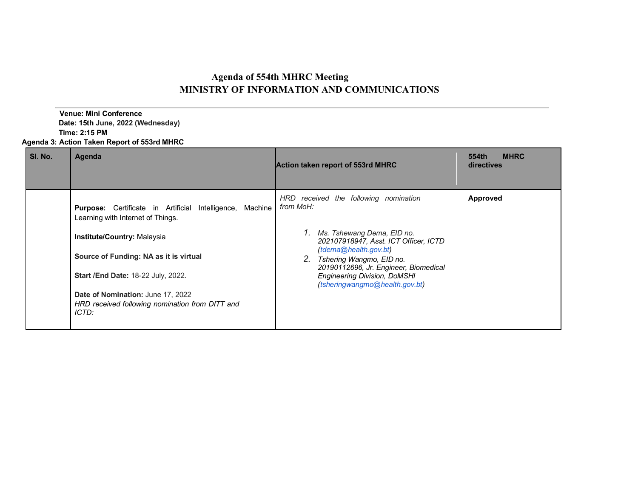## **Agenda of 554th MHRC Meeting MINISTRY OF INFORMATION AND COMMUNICATIONS**

 **Venue: Mini Conference Date: 15th June, 2022 (Wednesday) Time: 2:15 PM Agenda 3: Action Taken Report of 553rd MHRC**

| SI. No. | Agenda                                                                                                                                                                                                                                                                                                           | <b>Action taken report of 553rd MHRC</b>                                                                                                                                                                                                                                                               | <b>MHRC</b><br>554th<br>directives |
|---------|------------------------------------------------------------------------------------------------------------------------------------------------------------------------------------------------------------------------------------------------------------------------------------------------------------------|--------------------------------------------------------------------------------------------------------------------------------------------------------------------------------------------------------------------------------------------------------------------------------------------------------|------------------------------------|
|         | Purpose: Certificate in Artificial Intelligence,<br>Machine<br>Learning with Internet of Things.<br>Institute/Country: Malaysia<br>Source of Funding: NA as it is virtual<br>Start /End Date: 18-22 July, 2022.<br>Date of Nomination: June 17, 2022<br>HRD received following nomination from DITT and<br>ICTD: | HRD received the following nomination<br>from MoH:<br>1. Ms. Tshewang Dema, EID no.<br>202107918947, Asst. ICT Officer, ICTD<br>(tdema@health.gov.bt)<br>2. Tshering Wangmo, EID no.<br>20190112696, Jr. Engineer, Biomedical<br><b>Engineering Division, DoMSHI</b><br>(tsheringwangmo@health.gov.bt) | Approved                           |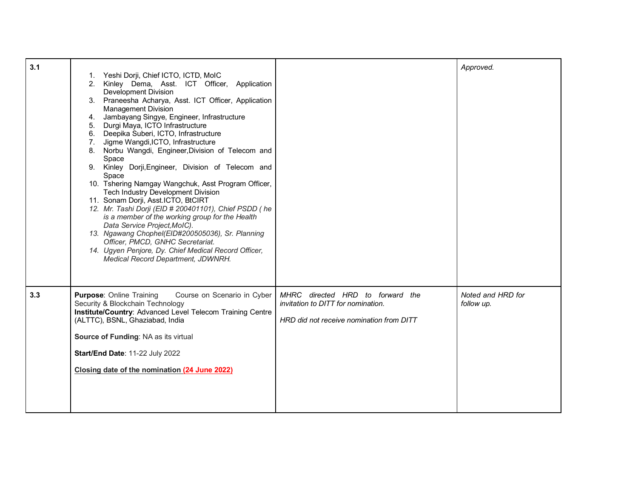| 3.1 |                                                                                                                                                                                                                                                                                                                                                                                                                                                                                                                                                                                                                                                                                                                                                                                                                                                                                                                                                                                                          |                                                                                                                    | Approved.                       |
|-----|----------------------------------------------------------------------------------------------------------------------------------------------------------------------------------------------------------------------------------------------------------------------------------------------------------------------------------------------------------------------------------------------------------------------------------------------------------------------------------------------------------------------------------------------------------------------------------------------------------------------------------------------------------------------------------------------------------------------------------------------------------------------------------------------------------------------------------------------------------------------------------------------------------------------------------------------------------------------------------------------------------|--------------------------------------------------------------------------------------------------------------------|---------------------------------|
|     | Yeshi Dorji, Chief ICTO, ICTD, MoIC<br>1.<br>2. Kinley Dema, Asst. ICT Officer, Application<br><b>Development Division</b><br>3. Praneesha Acharya, Asst. ICT Officer, Application<br><b>Management Division</b><br>Jambayang Singye, Engineer, Infrastructure<br>4.<br>5. Durgi Maya, ICTO Infrastructure<br>6. Deepika Suberi, ICTO, Infrastructure<br>7. Jigme Wangdi, ICTO, Infrastructure<br>8. Norbu Wangdi, Engineer, Division of Telecom and<br>Space<br>9. Kinley Dorji, Engineer, Division of Telecom and<br>Space<br>10. Tshering Namgay Wangchuk, Asst Program Officer,<br><b>Tech Industry Development Division</b><br>11. Sonam Dorji, Asst.ICTO, BtCIRT<br>12. Mr. Tashi Dorji (EID # 200401101), Chief PSDD (he<br>is a member of the working group for the Health<br>Data Service Project, MoIC).<br>13. Ngawang Chophel(EID#200505036), Sr. Planning<br>Officer, PMCD, GNHC Secretariat.<br>14. Ugyen Penjore, Dy. Chief Medical Record Officer,<br>Medical Record Department, JDWNRH. |                                                                                                                    |                                 |
| 3.3 | <b>Purpose: Online Training</b><br>Course on Scenario in Cyber<br>Security & Blockchain Technology<br>Institute/Country: Advanced Level Telecom Training Centre<br>(ALTTC), BSNL, Ghaziabad, India<br>Source of Funding: NA as its virtual<br>Start/End Date: 11-22 July 2022<br>Closing date of the nomination (24 June 2022)                                                                                                                                                                                                                                                                                                                                                                                                                                                                                                                                                                                                                                                                           | MHRC directed HRD to forward the<br>invitation to DITT for nomination.<br>HRD did not receive nomination from DITT | Noted and HRD for<br>follow up. |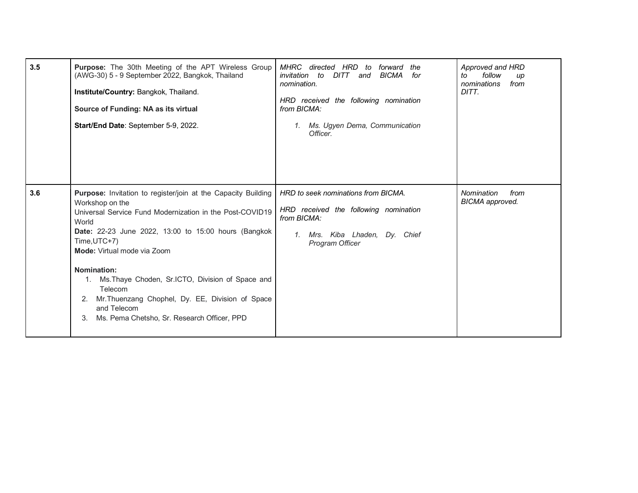| 3.5 | Purpose: The 30th Meeting of the APT Wireless Group<br>(AWG-30) 5 - 9 September 2022, Bangkok, Thailand<br>Institute/Country: Bangkok, Thailand.<br>Source of Funding: NA as its virtual<br>Start/End Date: September 5-9, 2022.                                                                                                                                                                                                                                          | MHRC<br>HRD<br>directed<br>forward<br>the<br>to<br>invitation to<br><b>BICMA</b><br>DITT<br>for<br>and<br>nomination.<br>HRD received the following nomination<br>from BICMA:<br>Ms. Ugyen Dema, Communication<br>$\mathcal{I}$ .<br>Officer. | Approved and HRD<br>follow<br>to<br>up<br>nominations<br>from<br>DITT. |
|-----|---------------------------------------------------------------------------------------------------------------------------------------------------------------------------------------------------------------------------------------------------------------------------------------------------------------------------------------------------------------------------------------------------------------------------------------------------------------------------|-----------------------------------------------------------------------------------------------------------------------------------------------------------------------------------------------------------------------------------------------|------------------------------------------------------------------------|
| 3.6 | Purpose: Invitation to register/join at the Capacity Building<br>Workshop on the<br>Universal Service Fund Modernization in the Post-COVID19<br>World<br>Date: 22-23 June 2022, 13:00 to 15:00 hours (Bangkok<br>Time, UTC+7)<br>Mode: Virtual mode via Zoom<br>Nomination:<br>Ms. Thaye Choden, Sr. ICTO, Division of Space and<br>1.<br>Telecom<br>Mr. Thuenzang Chophel, Dy. EE, Division of Space<br>and Telecom<br>Ms. Pema Chetsho, Sr. Research Officer, PPD<br>3. | HRD to seek nominations from BICMA.<br>HRD received the following nomination<br>from BICMA:<br>Mrs. Kiba Lhaden, Dy. Chief<br>1.<br>Program Officer                                                                                           | Nomination<br>from<br><b>BICMA</b> approved.                           |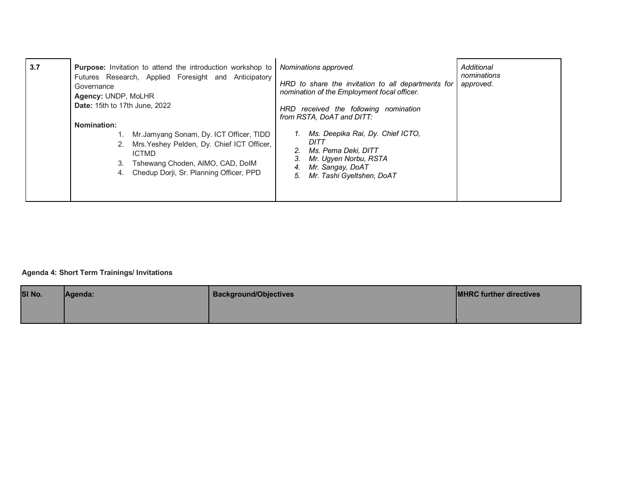| 3.7 | <b>Purpose:</b> Invitation to attend the introduction workshop to<br>Futures Research, Applied Foresight and Anticipatory<br>Governance<br>Agency: UNDP, MoLHR<br><b>Date: 15th to 17th June, 2022</b>                     | Nominations approved.<br>HRD to share the invitation to all departments for<br>nomination of the Employment focal officer.<br>HRD received the following nomination          | Additional<br>nominations<br>approved. |
|-----|----------------------------------------------------------------------------------------------------------------------------------------------------------------------------------------------------------------------------|------------------------------------------------------------------------------------------------------------------------------------------------------------------------------|----------------------------------------|
|     | <b>Nomination:</b><br>1. Mr. Jamyang Sonam, Dy. ICT Officer, TIDD<br>2. Mrs. Yeshey Pelden, Dy. Chief ICT Officer,<br><b>ICTMD</b><br>3. Tshewang Choden, AIMO, CAD, DoIM<br>Chedup Dorji, Sr. Planning Officer, PPD<br>4. | from RSTA, DoAT and DITT:<br>Ms. Deepika Rai, Dy. Chief ICTO,<br>DITT<br>Ms. Pema Deki, DITT<br>Mr. Ugyen Norbu, RSTA<br>Mr. Sangay, DoAT<br>Mr. Tashi Gyeltshen, DoAT<br>5. |                                        |

## **Agenda 4: Short Term Trainings/ Invitations**

| SI No. | Agenda: | <b>Background/Objectives</b> | <b>IMHRC further directives</b> |
|--------|---------|------------------------------|---------------------------------|
|        |         |                              |                                 |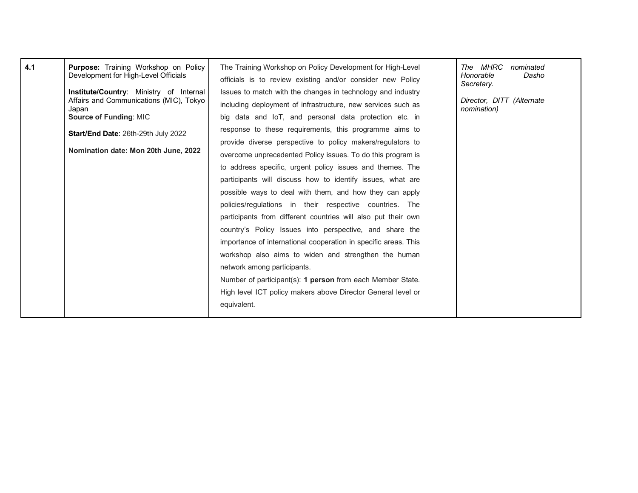| 4.1 | Purpose: Training Workshop on Policy<br>Development for High-Level Officials                       | The Training Workshop on Policy Development for High-Level      | The MHRC<br>nominated                    |
|-----|----------------------------------------------------------------------------------------------------|-----------------------------------------------------------------|------------------------------------------|
|     |                                                                                                    | officials is to review existing and/or consider new Policy      | Honorable<br>Dasho<br>Secretary.         |
|     | <b>Institute/Country:</b> Ministry of Internal<br>Affairs and Communications (MIC), Tokyo<br>Japan | Issues to match with the changes in technology and industry     |                                          |
|     |                                                                                                    | including deployment of infrastructure, new services such as    | Director, DITT (Alternate<br>nomination) |
|     | <b>Source of Funding: MIC</b>                                                                      | big data and IoT, and personal data protection etc. in          |                                          |
|     | Start/End Date: 26th-29th July 2022                                                                | response to these requirements, this programme aims to          |                                          |
|     |                                                                                                    | provide diverse perspective to policy makers/regulators to      |                                          |
|     | Nomination date: Mon 20th June, 2022                                                               | overcome unprecedented Policy issues. To do this program is     |                                          |
|     |                                                                                                    | to address specific, urgent policy issues and themes. The       |                                          |
|     |                                                                                                    | participants will discuss how to identify issues, what are      |                                          |
|     |                                                                                                    | possible ways to deal with them, and how they can apply         |                                          |
|     |                                                                                                    | policies/regulations in their respective countries. The         |                                          |
|     |                                                                                                    | participants from different countries will also put their own   |                                          |
|     |                                                                                                    | country's Policy Issues into perspective, and share the         |                                          |
|     |                                                                                                    | importance of international cooperation in specific areas. This |                                          |
|     |                                                                                                    | workshop also aims to widen and strengthen the human            |                                          |
|     |                                                                                                    | network among participants.                                     |                                          |
|     |                                                                                                    | Number of participant(s): 1 person from each Member State.      |                                          |
|     |                                                                                                    | High level ICT policy makers above Director General level or    |                                          |
|     |                                                                                                    | equivalent.                                                     |                                          |
|     |                                                                                                    |                                                                 |                                          |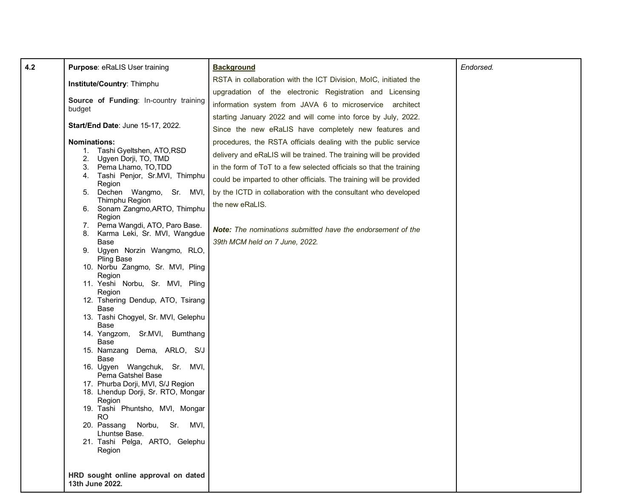| 4.2 | Purpose: eRaLIS User training                           | <b>Background</b>                                                   | Endorsed. |
|-----|---------------------------------------------------------|---------------------------------------------------------------------|-----------|
|     | Institute/Country: Thimphu                              | RSTA in collaboration with the ICT Division, MoIC, initiated the    |           |
|     | Source of Funding: In-country training                  | upgradation of the electronic Registration and Licensing            |           |
|     | budget                                                  | information system from JAVA 6 to microservice architect            |           |
|     | Start/End Date: June 15-17, 2022.                       | starting January 2022 and will come into force by July, 2022.       |           |
|     |                                                         | Since the new eRaLIS have completely new features and               |           |
|     | <b>Nominations:</b>                                     | procedures, the RSTA officials dealing with the public service      |           |
|     | 1. Tashi Gyeltshen, ATO, RSD<br>2. Ugyen Dorji, TO, TMD | delivery and eRaLIS will be trained. The training will be provided  |           |
|     | 3. Pema Lhamo, TO, TDD                                  | in the form of ToT to a few selected officials so that the training |           |
|     | 4. Tashi Penjor, Sr.MVI, Thimphu<br>Region              | could be imparted to other officials. The training will be provided |           |
|     | 5. Dechen Wangmo, Sr. MVI,                              | by the ICTD in collaboration with the consultant who developed      |           |
|     | Thimphu Region<br>6. Sonam Zangmo, ARTO, Thimphu        | the new eRaLIS.                                                     |           |
|     | Region                                                  |                                                                     |           |
|     | 7. Pema Wangdi, ATO, Paro Base.                         | <b>Note:</b> The nominations submitted have the endorsement of the  |           |
|     | 8. Karma Leki, Sr. MVI, Wangdue<br>Base                 | 39th MCM held on 7 June, 2022.                                      |           |
|     | 9. Ugyen Norzin Wangmo, RLO,                            |                                                                     |           |
|     | <b>Pling Base</b><br>10. Norbu Zangmo, Sr. MVI, Pling   |                                                                     |           |
|     | Region                                                  |                                                                     |           |
|     | 11. Yeshi Norbu, Sr. MVI, Pling<br>Region               |                                                                     |           |
|     | 12. Tshering Dendup, ATO, Tsirang                       |                                                                     |           |
|     | Base<br>13. Tashi Chogyel, Sr. MVI, Gelephu             |                                                                     |           |
|     | Base                                                    |                                                                     |           |
|     | 14. Yangzom, Sr.MVI, Bumthang<br>Base                   |                                                                     |           |
|     | 15. Namzang Dema, ARLO, S/J                             |                                                                     |           |
|     | Base                                                    |                                                                     |           |
|     | 16. Ugyen Wangchuk,<br>Sr. MVI,<br>Pema Gatshel Base    |                                                                     |           |
|     | 17. Phurba Dorji, MVI, S/J Region                       |                                                                     |           |
|     | 18. Lhendup Dorji, Sr. RTO, Mongar<br>Region            |                                                                     |           |
|     | 19. Tashi Phuntsho, MVI, Mongar<br>RO.                  |                                                                     |           |
|     | Sr. MVI,<br>20. Passang Norbu,                          |                                                                     |           |
|     | Lhuntse Base.                                           |                                                                     |           |
|     | 21. Tashi Pelga, ARTO, Gelephu<br>Region                |                                                                     |           |
|     |                                                         |                                                                     |           |
|     | HRD sought online approval on dated                     |                                                                     |           |
|     | 13th June 2022.                                         |                                                                     |           |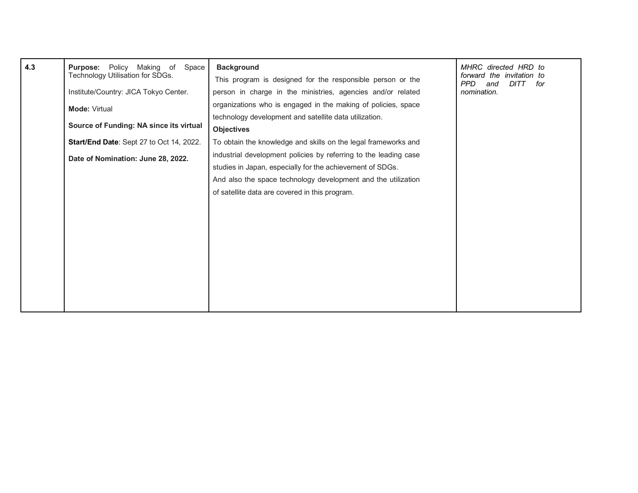| 4.3 | <b>Purpose:</b> Policy Making of<br>Space<br>Technology Utilisation for SDGs.<br>Institute/Country: JICA Tokyo Center.<br>Mode: Virtual<br>Source of Funding: NA since its virtual<br>Start/End Date: Sept 27 to Oct 14, 2022.<br>Date of Nomination: June 28, 2022. | <b>Background</b><br>This program is designed for the responsible person or the<br>person in charge in the ministries, agencies and/or related<br>organizations who is engaged in the making of policies, space<br>technology development and satellite data utilization.<br><b>Objectives</b><br>To obtain the knowledge and skills on the legal frameworks and<br>industrial development policies by referring to the leading case<br>studies in Japan, especially for the achievement of SDGs.<br>And also the space technology development and the utilization<br>of satellite data are covered in this program. | MHRC directed HRD to<br>forward the invitation to<br><b>PPD</b><br><b>DITT</b><br>and<br>for<br>nomination. |
|-----|----------------------------------------------------------------------------------------------------------------------------------------------------------------------------------------------------------------------------------------------------------------------|----------------------------------------------------------------------------------------------------------------------------------------------------------------------------------------------------------------------------------------------------------------------------------------------------------------------------------------------------------------------------------------------------------------------------------------------------------------------------------------------------------------------------------------------------------------------------------------------------------------------|-------------------------------------------------------------------------------------------------------------|
|-----|----------------------------------------------------------------------------------------------------------------------------------------------------------------------------------------------------------------------------------------------------------------------|----------------------------------------------------------------------------------------------------------------------------------------------------------------------------------------------------------------------------------------------------------------------------------------------------------------------------------------------------------------------------------------------------------------------------------------------------------------------------------------------------------------------------------------------------------------------------------------------------------------------|-------------------------------------------------------------------------------------------------------------|